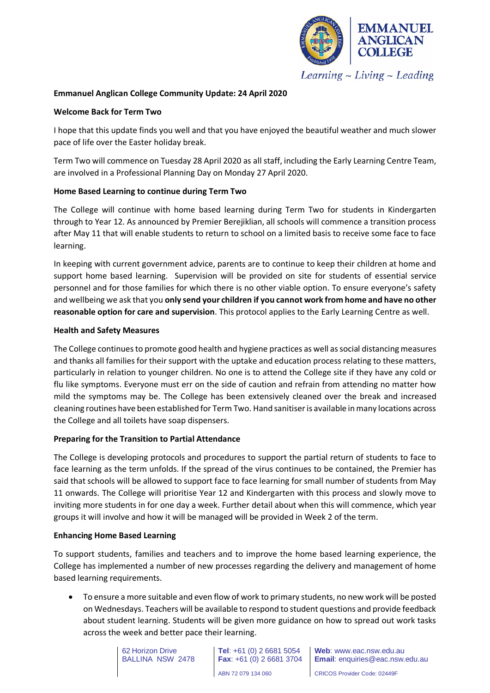

 $Learning$  - Living - Leading

# **Emmanuel Anglican College Community Update: 24 April 2020**

# **Welcome Back for Term Two**

I hope that this update finds you well and that you have enjoyed the beautiful weather and much slower pace of life over the Easter holiday break.

Term Two will commence on Tuesday 28 April 2020 as all staff, including the Early Learning Centre Team, are involved in a Professional Planning Day on Monday 27 April 2020.

# **Home Based Learning to continue during Term Two**

The College will continue with home based learning during Term Two for students in Kindergarten through to Year 12. As announced by Premier Berejiklian, all schools will commence a transition process after May 11 that will enable students to return to school on a limited basis to receive some face to face learning.

In keeping with current government advice, parents are to continue to keep their children at home and support home based learning. Supervision will be provided on site for students of essential service personnel and for those families for which there is no other viable option. To ensure everyone's safety and wellbeing we ask that you **only send your children if you cannot work from home and have no other reasonable option for care and supervision**. This protocol applies to the Early Learning Centre as well.

# **Health and Safety Measures**

The College continues to promote good health and hygiene practices as well as social distancing measures and thanks all families for their support with the uptake and education process relating to these matters, particularly in relation to younger children. No one is to attend the College site if they have any cold or flu like symptoms. Everyone must err on the side of caution and refrain from attending no matter how mild the symptoms may be. The College has been extensively cleaned over the break and increased cleaning routines have been established for Term Two. Hand sanitiser is available in many locations across the College and all toilets have soap dispensers.

# **Preparing for the Transition to Partial Attendance**

The College is developing protocols and procedures to support the partial return of students to face to face learning as the term unfolds. If the spread of the virus continues to be contained, the Premier has said that schools will be allowed to support face to face learning for small number of students from May 11 onwards. The College will prioritise Year 12 and Kindergarten with this process and slowly move to inviting more students in for one day a week. Further detail about when this will commence, which year groups it will involve and how it will be managed will be provided in Week 2 of the term.

### **Enhancing Home Based Learning**

To support students, families and teachers and to improve the home based learning experience, the College has implemented a number of new processes regarding the delivery and management of home based learning requirements.

• To ensure a more suitable and even flow of work to primary students, no new work will be posted on Wednesdays. Teachers will be available to respond to student questions and provide feedback about student learning. Students will be given more guidance on how to spread out work tasks across the week and better pace their learning.

> 62 Horizon Drive BALLINA NSW 2478

**Tel**: +61 (0) 2 6681 5054 **Fax**: +61 (0) 2 6681 3704

**Web**: www.eac.nsw.edu.au **Email**: enquiries@eac.nsw.edu.au

ABN 72 079 134 060